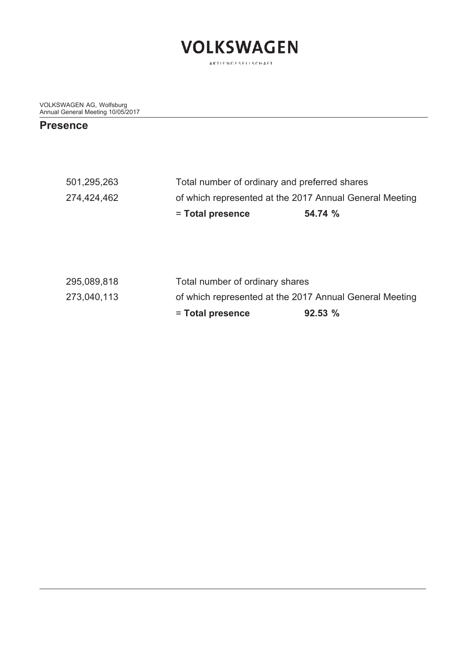

VOLKSWAGEN AG, Wolfsburg Annual General Meeting 10/05/2017

#### **Presence**

|             | = Total presence                                        | 54.74 % |  |  |  |
|-------------|---------------------------------------------------------|---------|--|--|--|
| 274,424,462 | of which represented at the 2017 Annual General Meeting |         |  |  |  |
| 501,295,263 | Total number of ordinary and preferred shares           |         |  |  |  |

|             | = Total presence                                        | 92.53% |
|-------------|---------------------------------------------------------|--------|
| 273,040,113 | of which represented at the 2017 Annual General Meeting |        |
| 295,089,818 | Total number of ordinary shares                         |        |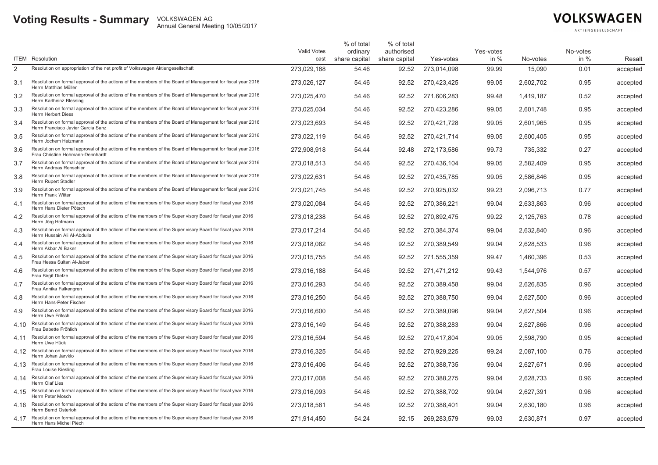## **Voting Results - Summary** VOLKSWAGEN AG **Annual General Meeting 10/05/2017**

## **VOLKSWAGEN**

AKTIENGESELLSCHAFT

|                | <b>ITEM</b> Resolution                                                                                                                            | Valid Votes<br>cast | % of total<br>ordinary<br>share capital | % of total<br>authorised<br>share capital | Yes-votes   | Yes-votes<br>in $%$ | No-votes  | No-votes<br>in $%$ | Resalt   |
|----------------|---------------------------------------------------------------------------------------------------------------------------------------------------|---------------------|-----------------------------------------|-------------------------------------------|-------------|---------------------|-----------|--------------------|----------|
| $\overline{2}$ | Resolution on appropriation of the net profit of Volkswagen Aktiengesellschaft                                                                    | 273,029,188         | 54.46                                   | 92.52                                     | 273,014,098 | 99.99               | 15,090    | 0.01               | accepted |
| 3.1            | Resolution on formal approval of the actions of the members of the Board of Management for fiscal year 2016<br>Herrn Matthias Müller              | 273.026.127         | 54.46                                   | 92.52                                     | 270.423.425 | 99.05               | 2.602.702 | 0.95               | accepted |
| 3.2            | Resolution on formal approval of the actions of the members of the Board of Management for fiscal year 2016<br>Herrn Karlheinz Blessing           | 273,025,470         | 54.46                                   | 92.52                                     | 271,606,283 | 99.48               | 1,419,187 | 0.52               | accepted |
| 3.3            | Resolution on formal approval of the actions of the members of the Board of Management for fiscal year 2016<br><b>Herrn Herbert Diess</b>         | 273,025,034         | 54.46                                   | 92.52                                     | 270,423,286 | 99.05               | 2,601,748 | 0.95               | accepted |
| 3.4            | Resolution on formal approval of the actions of the members of the Board of Management for fiscal year 2016<br>Herrn Francisco Javier Garcia Sanz | 273,023,693         | 54.46                                   | 92.52                                     | 270,421,728 | 99.05               | 2,601,965 | 0.95               | accepted |
| 3.5            | Resolution on formal approval of the actions of the members of the Board of Management for fiscal year 2016<br>Herrn Jochem Heizmann              | 273,022,119         | 54.46                                   | 92.52                                     | 270,421,714 | 99.05               | 2,600,405 | 0.95               | accepted |
| 3.6            | Resolution on formal approval of the actions of the members of the Board of Management for fiscal year 2016<br>Frau Christine Hohmann-Dennhardt   | 272.908.918         | 54.44                                   | 92.48                                     | 272,173,586 | 99.73               | 735.332   | 0.27               | accepted |
| 3.7            | Resolution on formal approval of the actions of the members of the Board of Management for fiscal year 2016<br>Herrn Andreas Renschler            | 273,018,513         | 54.46                                   | 92.52                                     | 270,436,104 | 99.05               | 2,582,409 | 0.95               | accepted |
| 3.8            | Resolution on formal approval of the actions of the members of the Board of Management for fiscal year 2016<br>Herrn Rupert Stadler               | 273,022,631         | 54.46                                   | 92.52                                     | 270,435,785 | 99.05               | 2,586,846 | 0.95               | accepted |
| 3.9            | Resolution on formal approval of the actions of the members of the Board of Management for fiscal year 2016<br>Herrn Frank Witter                 | 273,021,745         | 54.46                                   | 92.52                                     | 270,925,032 | 99.23               | 2.096.713 | 0.77               | accepted |
| 4.1            | Resolution on formal approval of the actions of the members of the Super visory Board for fiscal year 2016<br>Herrn Hans Dieter Pötsch            | 273,020,084         | 54.46                                   | 92.52                                     | 270,386,221 | 99.04               | 2,633,863 | 0.96               | accepted |
| 4.2            | Resolution on formal approval of the actions of the members of the Super visory Board for fiscal year 2016<br>Herrn Jörg Hofmann                  | 273.018.238         | 54.46                                   | 92.52                                     | 270.892.475 | 99.22               | 2.125.763 | 0.78               | accepted |
| 4.3            | Resolution on formal approval of the actions of the members of the Super visory Board for fiscal year 2016<br>Herrn Hussain Ali Al-Abdulla        | 273,017,214         | 54.46                                   | 92.52                                     | 270,384,374 | 99.04               | 2,632,840 | 0.96               | accepted |
| 4.4            | Resolution on formal approval of the actions of the members of the Super visory Board for fiscal year 2016<br>Herrn Akbar Al Baker                | 273,018,082         | 54.46                                   | 92.52                                     | 270,389,549 | 99.04               | 2,628,533 | 0.96               | accepted |
| 4.5            | Resolution on formal approval of the actions of the members of the Super visory Board for fiscal year 2016<br>Frau Hessa Sultan Al-Jaber          | 273,015,755         | 54.46                                   | 92.52                                     | 271,555,359 | 99.47               | 1,460,396 | 0.53               | accepted |
| 4.6            | Resolution on formal approval of the actions of the members of the Super visory Board for fiscal year 2016<br>Frau Birgit Dietze                  | 273,016,188         | 54.46                                   | 92.52                                     | 271,471,212 | 99.43               | 1,544,976 | 0.57               | accepted |
| 4.7            | Resolution on formal approval of the actions of the members of the Super visory Board for fiscal year 2016<br>Frau Annika Falkengren              | 273.016.293         | 54.46                                   | 92.52                                     | 270.389.458 | 99.04               | 2.626.835 | 0.96               | accepted |
| 4.8            | Resolution on formal approval of the actions of the members of the Super visory Board for fiscal year 2016<br>Herrn Hans-Peter Fischer            | 273,016,250         | 54.46                                   | 92.52                                     | 270,388,750 | 99.04               | 2,627,500 | 0.96               | accepted |
| 4.9            | Resolution on formal approval of the actions of the members of the Super visory Board for fiscal year 2016<br>Herrn Uwe Fritsch                   | 273,016,600         | 54.46                                   | 92.52                                     | 270,389,096 | 99.04               | 2,627,504 | 0.96               | accepted |
| 4.10           | Resolution on formal approval of the actions of the members of the Super visory Board for fiscal year 2016<br>Frau Babette Fröhlich               | 273,016,149         | 54.46                                   | 92.52                                     | 270,388,283 | 99.04               | 2,627,866 | 0.96               | accepted |
| 4.11           | Resolution on formal approval of the actions of the members of the Super visory Board for fiscal year 2016<br>Herrn Uwe Hück                      | 273,016,594         | 54.46                                   | 92.52                                     | 270,417,804 | 99.05               | 2,598,790 | 0.95               | accepted |
| 4.12           | Resolution on formal approval of the actions of the members of the Super visory Board for fiscal year 2016<br>Herrn Johan Järvklo                 | 273.016.325         | 54.46                                   | 92.52                                     | 270.929.225 | 99.24               | 2.087.100 | 0.76               | accepted |
| 4.13           | Resolution on formal approval of the actions of the members of the Super visory Board for fiscal year 2016<br>Frau Louise Kiesling                | 273,016,406         | 54.46                                   | 92.52                                     | 270,388,735 | 99.04               | 2,627,671 | 0.96               | accepted |
|                | 4.14 Resolution on formal approval of the actions of the members of the Super visory Board for fiscal year 2016<br>Herrn Olaf Lies                | 273,017,008         | 54.46                                   | 92.52                                     | 270,388,275 | 99.04               | 2,628,733 | 0.96               | accepted |
| 4.15           | Resolution on formal approval of the actions of the members of the Super visory Board for fiscal year 2016<br>Herrn Peter Mosch                   | 273,016,093         | 54.46                                   | 92.52                                     | 270,388,702 | 99.04               | 2,627,391 | 0.96               | accepted |
| 4.16           | Resolution on formal approval of the actions of the members of the Super visory Board for fiscal year 2016<br>Herrn Bernd Osterloh                | 273.018.581         | 54.46                                   | 92.52                                     | 270.388.401 | 99.04               | 2.630.180 | 0.96               | accepted |
| 4.17           | Resolution on formal approval of the actions of the members of the Super visory Board for fiscal year 2016<br>Herrn Hans Michel Piëch             | 271.914.450         | 54.24                                   | 92.15                                     | 269,283,579 | 99.03               | 2.630.871 | 0.97               | accepted |